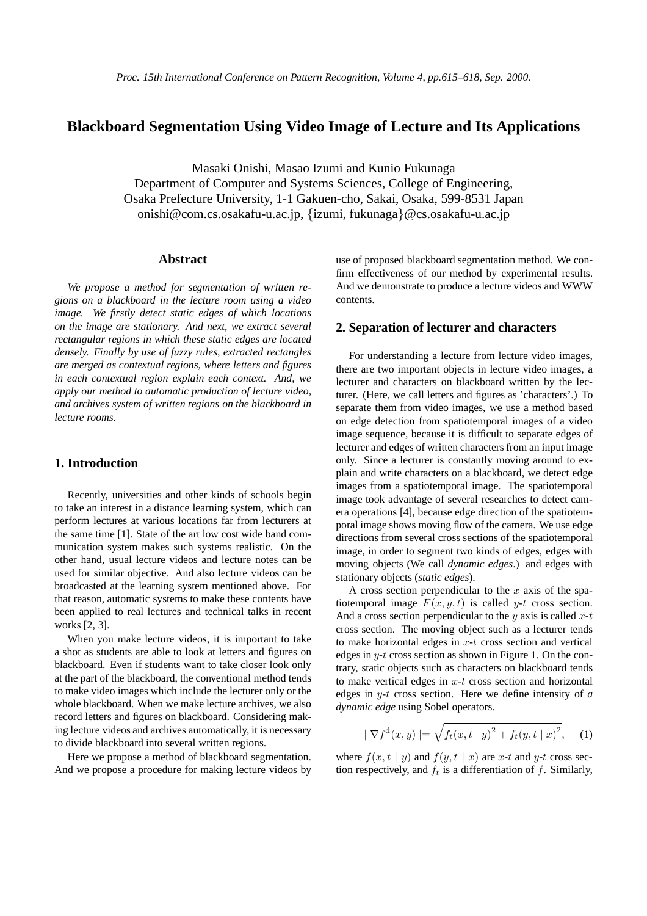# **Blackboard Segmentation Using Video Image of Lecture and Its Applications**

Masaki Onishi, Masao Izumi and Kunio Fukunaga Department of Computer and Systems Sciences, College of Engineering, Osaka Prefecture University, 1-1 Gakuen-cho, Sakai, Osaka, 599-8531 Japan onishi@com.cs.osakafu-u.ac.jp, {izumi, fukunaga}@cs.osakafu-u.ac.jp

### **Abstract**

*We propose a method for segmentation of written regions on a blackboard in the lecture room using a video image. We firstly detect static edges of which locations on the image are stationary. And next, we extract several rectangular regions in which these static edges are located densely. Finally by use of fuzzy rules, extracted rectangles are merged as contextual regions, where letters and figures in each contextual region explain each context. And, we apply our method to automatic production of lecture video, and archives system of written regions on the blackboard in lecture rooms.*

### **1. Introduction**

Recently, universities and other kinds of schools begin to take an interest in a distance learning system, which can perform lectures at various locations far from lecturers at the same time [1]. State of the art low cost wide band communication system makes such systems realistic. On the other hand, usual lecture videos and lecture notes can be used for similar objective. And also lecture videos can be broadcasted at the learning system mentioned above. For that reason, automatic systems to make these contents have been applied to real lectures and technical talks in recent works [2, 3].

When you make lecture videos, it is important to take a shot as students are able to look at letters and figures on blackboard. Even if students want to take closer look only at the part of the blackboard, the conventional method tends to make video images which include the lecturer only or the whole blackboard. When we make lecture archives, we also record letters and figures on blackboard. Considering making lecture videos and archives automatically, it is necessary to divide blackboard into several written regions.

Here we propose a method of blackboard segmentation. And we propose a procedure for making lecture videos by use of proposed blackboard segmentation method. We confirm effectiveness of our method by experimental results. And we demonstrate to produce a lecture videos and WWW contents.

### **2. Separation of lecturer and characters**

For understanding a lecture from lecture video images, there are two important objects in lecture video images, a lecturer and characters on blackboard written by the lecturer. (Here, we call letters and figures as 'characters'.) To separate them from video images, we use a method based on edge detection from spatiotemporal images of a video image sequence, because it is difficult to separate edges of lecturer and edges of written characters from an input image only. Since a lecturer is constantly moving around to explain and write characters on a blackboard, we detect edge images from a spatiotemporal image. The spatiotemporal image took advantage of several researches to detect camera operations [4], because edge direction of the spatiotemporal image shows moving flow of the camera. We use edge directions from several cross sections of the spatiotemporal image, in order to segment two kinds of edges, edges with moving objects (We call *dynamic edges*.) and edges with stationary objects (*static edges*).

A cross section perpendicular to the *x* axis of the spatiotemporal image  $F(x, y, t)$  is called y-t cross section. And a cross section perpendicular to the *y* axis is called  $x$ -*t* cross section. The moving object such as a lecturer tends to make horizontal edges in *x*-*t* cross section and vertical edges in *y*-*t* cross section as shown in Figure 1. On the contrary, static objects such as characters on blackboard tends to make vertical edges in *x*-*t* cross section and horizontal edges in *y*-*t* cross section. Here we define intensity of *a dynamic edge* using Sobel operators.

$$
|\nabla f^{d}(x, y)| = \sqrt{f_{t}(x, t | y)^{2} + f_{t}(y, t | x)^{2}}, \quad (1)
$$

where  $f(x, t | y)$  and  $f(y, t | x)$  are *x*-*t* and *y*-*t* cross section respectively, and  $f_t$  is a differentiation of  $f$ . Similarly,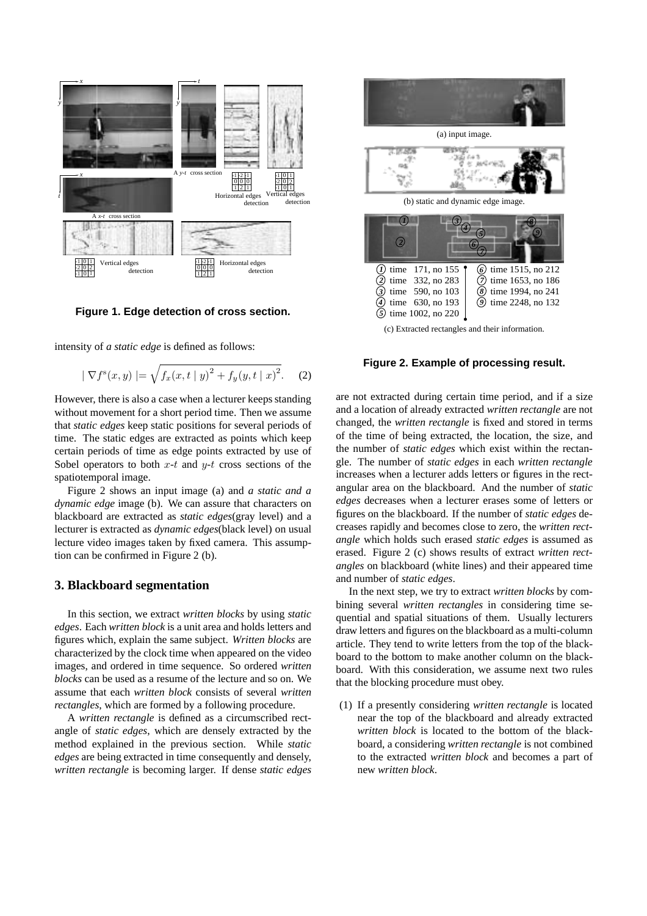

**Figure 1. Edge detection of cross section.**

intensity of *a static edge* is defined as follows:

$$
|\nabla f^{s}(x, y)| = \sqrt{f_{x}(x, t | y)^{2} + f_{y}(y, t | x)^{2}}.
$$
 (2)

However, there is also a case when a lecturer keeps standing without movement for a short period time. Then we assume that *static edges* keep static positions for several periods of time. The static edges are extracted as points which keep certain periods of time as edge points extracted by use of Sobel operators to both *x*-*t* and *y*-*t* cross sections of the spatiotemporal image.

Figure 2 shows an input image (a) and *a static and a dynamic edge* image (b). We can assure that characters on blackboard are extracted as *static edges*(gray level) and a lecturer is extracted as *dynamic edges*(black level) on usual lecture video images taken by fixed camera. This assumption can be confirmed in Figure 2 (b).

### **3. Blackboard segmentation**

In this section, we extract *written blocks* by using *static edges*. Each *written block* is a unit area and holds letters and figures which, explain the same subject. *Written blocks* are characterized by the clock time when appeared on the video images, and ordered in time sequence. So ordered *written blocks* can be used as a resume of the lecture and so on. We assume that each *written block* consists of several *written rectangles*, which are formed by a following procedure.

A *written rectangle* is defined as a circumscribed rectangle of *static edges*, which are densely extracted by the method explained in the previous section. While *static edges* are being extracted in time consequently and densely, *written rectangle* is becoming larger. If dense *static edges*



**Figure 2. Example of processing result.**

are not extracted during certain time period, and if a size and a location of already extracted *written rectangle* are not changed, the *written rectangle* is fixed and stored in terms of the time of being extracted, the location, the size, and the number of *static edges* which exist within the rectangle. The number of *static edges* in each *written rectangle* increases when a lecturer adds letters or figures in the rectangular area on the blackboard. And the number of *static edges* decreases when a lecturer erases some of letters or figures on the blackboard. If the number of *static edges* decreases rapidly and becomes close to zero, the *written rectangle* which holds such erased *static edges* is assumed as erased. Figure 2 (c) shows results of extract *written rectangles* on blackboard (white lines) and their appeared time and number of *static edges*.

In the next step, we try to extract *written blocks* by combining several *written rectangles* in considering time sequential and spatial situations of them. Usually lecturers draw letters and figures on the blackboard as a multi-column article. They tend to write letters from the top of the blackboard to the bottom to make another column on the blackboard. With this consideration, we assume next two rules that the blocking procedure must obey.

(1) If a presently considering *written rectangle* is located near the top of the blackboard and already extracted *written block* is located to the bottom of the blackboard, a considering *written rectangle* is not combined to the extracted *written block* and becomes a part of new *written block*.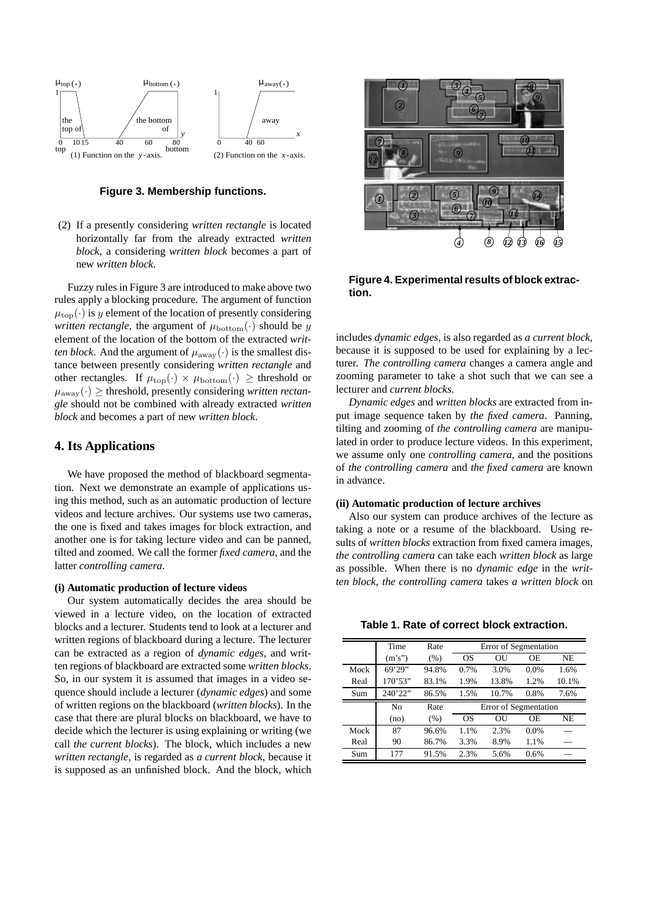

**Figure 3. Membership functions.**

(2) If a presently considering *written rectangle* is located horizontally far from the already extracted *written block*, a considering *written block* becomes a part of new *written block*.

Fuzzy rules in Figure 3 are introduced to make above two rules apply a blocking procedure. The argument of function  $\mu_{\text{top}}(\cdot)$  is *y* element of the location of presently considering *written rectangle*, the argument of  $\mu_{\text{bottom}}(\cdot)$  should be *y* element of the location of the bottom of the extracted *written block*. And the argument of  $\mu_{\text{away}}(\cdot)$  is the smallest distance between presently considering *written rectangle* and other rectangles. If  $\mu_{\text{top}}(\cdot) \times \mu_{\text{bottom}}(\cdot) \geq \text{threshold or}$  $\mu_{\text{away}}(\cdot) \geq$  threshold, presently considering *written rectangle* should not be combined with already extracted *written block* and becomes a part of new *written block*.

# **4. Its Applications**

We have proposed the method of blackboard segmentation. Next we demonstrate an example of applications using this method, such as an automatic production of lecture videos and lecture archives. Our systems use two cameras, the one is fixed and takes images for block extraction, and another one is for taking lecture video and can be panned, tilted and zoomed. We call the former *fixed camera*, and the latter *controlling camera*.

#### **(i) Automatic production of lecture videos**

Our system automatically decides the area should be viewed in a lecture video, on the location of extracted blocks and a lecturer. Students tend to look at a lecturer and written regions of blackboard during a lecture. The lecturer can be extracted as a region of *dynamic edges*, and written regions of blackboard are extracted some *written blocks*. So, in our system it is assumed that images in a video sequence should include a lecturer (*dynamic edges*) and some of written regions on the blackboard (*written blocks*). In the case that there are plural blocks on blackboard, we have to decide which the lecturer is using explaining or writing (we call *the current blocks*). The block, which includes a new *written rectangle*, is regarded as *a current block*, because it is supposed as an unfinished block. And the block, which



**Figure 4. Experimental results of block extraction.**

includes *dynamic edges*, is also regarded as *a current block*, because it is supposed to be used for explaining by a lecturer. *The controlling camera* changes a camera angle and zooming parameter to take a shot such that we can see a lecturer and *current blocks*.

*Dynamic edges* and *written blocks* are extracted from input image sequence taken by *the fixed camera*. Panning, tilting and zooming of *the controlling camera* are manipulated in order to produce lecture videos. In this experiment, we assume only one *controlling camera*, and the positions of *the controlling camera* and *the fixed camera* are known in advance.

#### **(ii) Automatic production of lecture archives**

Also our system can produce archives of the lecture as taking a note or a resume of the blackboard. Using results of *written blocks* extraction from fixed camera images, *the controlling camera* can take each *written block* as large as possible. When there is no *dynamic edge* in the *written block*, *the controlling camera* takes *a written block* on

**Table 1. Rate of correct block extraction.**

|      | Time           | Rate  | Error of Segmentation |       |         |       |
|------|----------------|-------|-----------------------|-------|---------|-------|
|      | (m's")         | (% )  | OS                    | OU    | OЕ      | NE    |
| Mock | 69'29"         | 94.8% | 0.7%                  | 3.0%  | $0.0\%$ | 1.6%  |
| Real | 170'53"        | 83.1% | 1.9%                  | 13.8% | 1.2%    | 10.1% |
| Sum  | 240'22'        | 86.5% | 1.5%                  | 10.7% | 0.8%    | 7.6%  |
|      | N <sub>0</sub> | Rate  | Error of Segmentation |       |         |       |
|      | (no)           | (% )  | OS                    | OU    | OЕ      | NE    |
| Mock | 87             | 96.6% | 1.1%                  | 2.3%  | $0.0\%$ |       |
| Real | 90             | 86.7% | 3.3%                  | 8.9%  | 1.1%    |       |
| Sum  | 177            | 91.5% | 2.3%                  | 5.6%  | 0.6%    |       |